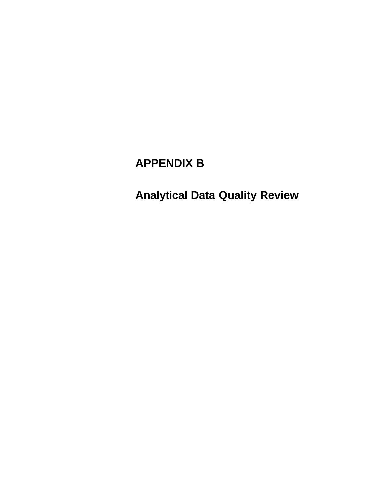# **APPENDIX B**

**Analytical Data Quality Review**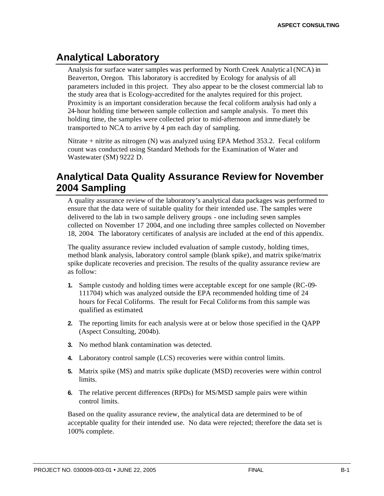## **Analytical Laboratory**

Analysis for surface water samples was performed by North Creek Analytic al (NCA) in Beaverton, Oregon. This laboratory is accredited by Ecology for analysis of all parameters included in this project. They also appear to be the closest commercial lab to the study area that is Ecology-accredited for the analytes required for this project. Proximity is an important consideration because the fecal coliform analysis had only a 24-hour holding time between sample collection and sample analysis. To meet this holding time, the samples were collected prior to mid-afternoon and imme diately be transported to NCA to arrive by 4 pm each day of sampling.

Nitrate + nitrite as nitrogen (N) was analyzed using EPA Method 353.2. Fecal coliform count was conducted using Standard Methods for the Examination of Water and Wastewater (SM) 9222 D.

## **Analytical Data Quality Assurance Review for November 2004 Sampling**

A quality assurance review of the laboratory's analytical data packages was performed to ensure that the data were of suitable quality for their intended use. The samples were delivered to the lab in two sample delivery groups - one including seven samples collected on November 17 2004, and one including three samples collected on November 18, 2004. The laboratory certificates of analysis are included at the end of this appendix.

The quality assurance review included evaluation of sample custody, holding times, method blank analysis, laboratory control sample (blank spike), and matrix spike/matrix spike duplicate recoveries and precision. The results of the quality assurance review are as follow:

- **1.** Sample custody and holding times were acceptable except for one sample (RC-09- 111704) which was analyzed outside the EPA recommended holding time of 24 hours for Fecal Coliforms. The result for Fecal Coliforms from this sample was qualified as estimated.
- **2.** The reporting limits for each analysis were at or below those specified in the QAPP (Aspect Consulting, 2004b).
- **3.** No method blank contamination was detected.
- **4.** Laboratory control sample (LCS) recoveries were within control limits.
- **5.** Matrix spike (MS) and matrix spike duplicate (MSD) recoveries were within control limits.
- **6.** The relative percent differences (RPDs) for MS/MSD sample pairs were within control limits.

Based on the quality assurance review, the analytical data are determined to be of acceptable quality for their intended use. No data were rejected; therefore the data set is 100% complete.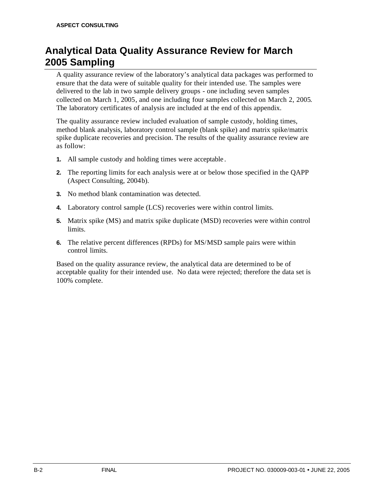## **Analytical Data Quality Assurance Review for March 2005 Sampling**

A quality assurance review of the laboratory's analytical data packages was performed to ensure that the data were of suitable quality for their intended use. The samples were delivered to the lab in two sample delivery groups - one including seven samples collected on March 1, 2005, and one including four samples collected on March 2, 2005. The laboratory certificates of analysis are included at the end of this appendix.

The quality assurance review included evaluation of sample custody, holding times, method blank analysis, laboratory control sample (blank spike) and matrix spike/matrix spike duplicate recoveries and precision. The results of the quality assurance review are as follow:

- **1.** All sample custody and holding times were acceptable .
- **2.** The reporting limits for each analysis were at or below those specified in the QAPP (Aspect Consulting, 2004b).
- **3.** No method blank contamination was detected.
- **4.** Laboratory control sample (LCS) recoveries were within control limits.
- **5.** Matrix spike (MS) and matrix spike duplicate (MSD) recoveries were within control limits.
- **6.** The relative percent differences (RPDs) for MS/MSD sample pairs were within control limits.

Based on the quality assurance review, the analytical data are determined to be of acceptable quality for their intended use. No data were rejected; therefore the data set is 100% complete.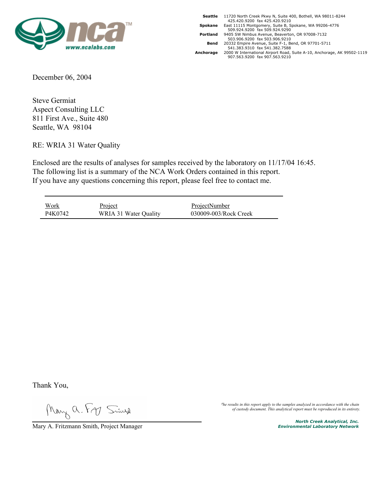

|           | Seattle 11720 North Creek Pkwy N, Suite 400, Bothell, WA 98011-8244     |
|-----------|-------------------------------------------------------------------------|
|           | 425.420.9200 fax 425.420.9210                                           |
| Spokane   | East 11115 Montgomery, Suite B, Spokane, WA 99206-4776                  |
|           | 509.924.9200 fax 509.924.9290                                           |
| Portland  | 9405 SW Nimbus Avenue, Beaverton, OR 97008-7132                         |
|           | 503.906.9200 fax 503.906.9210                                           |
| Bend      | 20332 Empire Avenue, Suite F-1, Bend, OR 97701-5711                     |
|           | 541.383.9310 fax 541.382.7588                                           |
| Anchorage | 2000 W International Airport Road, Suite A-10, Anchorage, AK 99502-1119 |
|           | 907.563.9200 fax 907.563.9210                                           |
|           |                                                                         |

December 06, 2004

Steve Germiat Aspect Consulting LLC 811 First Ave., Suite 480 Seattle, WA 98104

RE: WRIA 31 Water Quality

Enclosed are the results of analyses for samples received by the laboratory on 11/17/04 16:45. The following list is a summary of the NCA Work Orders contained in this report. If you have any questions concerning this report, please feel free to contact me.

| <b>Work</b> | <u>Project</u>        | ProjectNumber         |  |
|-------------|-----------------------|-----------------------|--|
| P4K0742     | WRIA 31 Water Quality | 030009-003/Rock Creek |  |

Thank You,

Mary a. Fr Simp

*The results in this report apply to the samples analyzed in accordance with the chain of custody document. This analytical report must be reproduced in its entirety.*

Mary A. Fritzmann Smith, Project Manager **North Creek Analytical, Inc.**<br>Mary A. Fritzmann Smith, Project Manager *North Creek Analytical, Inc. Environmental Laboratory Network*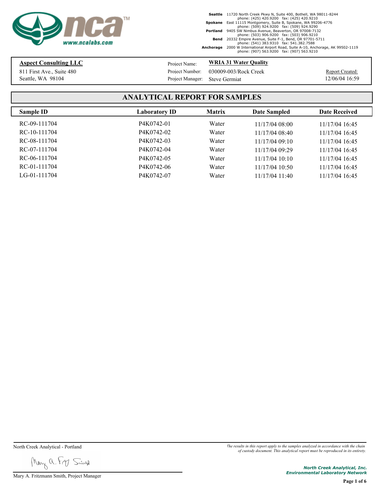

## **Aspect Consulting LLC**

Seattle, WA 98104 811 First Ave., Suite 480 Project Name:

**WRIA 31 Water Quality**

Project Manager: Steve Germiat Project Number: 030009-003/Rock Creek

Report Created: 12/06/04 16:59

## **ANALYTICAL REPORT FOR SAMPLES**

| Sample ID      | Laboratory ID | <b>Matrix</b> | <b>Date Sampled</b> | <b>Date Received</b> |
|----------------|---------------|---------------|---------------------|----------------------|
| RC-09-111704   | P4K0742-01    | Water         | 11/17/0408:00       | 11/17/04 16:45       |
| RC-10-111704   | P4K0742-02    | Water         | 11/17/04 08:40      | 11/17/04 16:45       |
| RC-08-111704   | P4K0742-03    | Water         | 11/17/0409:10       | 11/17/04 16:45       |
| RC-07-111704   | P4K0742-04    | Water         | 11/17/04 09:29      | 11/17/04 16:45       |
| RC-06-111704   | P4K0742-05    | Water         | $11/17/04$ 10:10    | 11/17/04 16:45       |
| RC-01-111704   | P4K0742-06    | Water         | $11/17/04$ 10:50    | 11/17/04 16:45       |
| $LG-01-111704$ | P4K0742-07    | Water         | $11/17/04$ 11:40    | 11/17/04 16:45       |

Mary a. Fry Singe

Mary A. Fritzmann Smith, Project Manager

North Creek Analytical - Portland *The results in this report apply to the samples analyzed in accordance with the chain of custody document. This analytical report must be reproduced in its entirety.*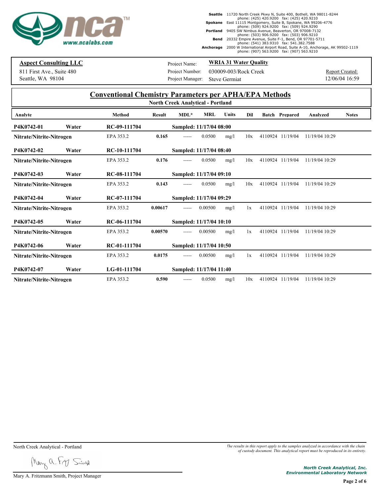

### **Aspect Consulting LLC**

Seattle, WA 98104 811 First Ave., Suite 480 Project Name:

**WRIA 31 Water Quality**

Project Manager: Steve Germiat Project Number: 030009-003/Rock Creek

Report Created: 12/06/04 16:59

#### **Conventional Chemistry Parameters per APHA/EPA Methods North Creek Analytical - Portland**

|                          |       |               |               | NOrth Creek Analytical - Portland |            |       |     |                       |                |              |
|--------------------------|-------|---------------|---------------|-----------------------------------|------------|-------|-----|-----------------------|----------------|--------------|
| Analyte                  |       | <b>Method</b> | <b>Result</b> | $MDL*$                            | <b>MRL</b> | Units | Dil | <b>Batch Prepared</b> | Analyzed       | <b>Notes</b> |
| P4K0742-01               | Water | RC-09-111704  |               | Sampled: 11/17/04 08:00           |            |       |     |                       |                |              |
| Nitrate/Nitrite-Nitrogen |       | EPA 353.2     | 0.165         | -----                             | 0.0500     | mg/l  | 10x | 4110924 11/19/04      | 11/19/04 10:29 |              |
| P4K0742-02               | Water | RC-10-111704  |               | Sampled: 11/17/04 08:40           |            |       |     |                       |                |              |
| Nitrate/Nitrite-Nitrogen |       | EPA 353.2     | 0.176         |                                   | 0.0500     | mg/l  | 10x | 4110924 11/19/04      | 11/19/04 10:29 |              |
| P4K0742-03               | Water | RC-08-111704  |               | Sampled: 11/17/04 09:10           |            |       |     |                       |                |              |
| Nitrate/Nitrite-Nitrogen |       | EPA 353.2     | 0.143         | -----                             | 0.0500     | mg/l  | 10x | 4110924 11/19/04      | 11/19/04 10:29 |              |
| P4K0742-04               | Water | RC-07-111704  |               | Sampled: 11/17/04 09:29           |            |       |     |                       |                |              |
| Nitrate/Nitrite-Nitrogen |       | EPA 353.2     | 0.00617       | -----                             | 0.00500    | mg/l  | 1x  | 4110924 11/19/04      | 11/19/04 10:29 |              |
| P4K0742-05               | Water | RC-06-111704  |               | Sampled: 11/17/04 10:10           |            |       |     |                       |                |              |
| Nitrate/Nitrite-Nitrogen |       | EPA 353.2     | 0.00570       | $- - - - -$                       | 0.00500    | mg/l  | 1x  | 4110924 11/19/04      | 11/19/04 10:29 |              |
| P4K0742-06               | Water | RC-01-111704  |               | Sampled: 11/17/04 10:50           |            |       |     |                       |                |              |
| Nitrate/Nitrite-Nitrogen |       | EPA 353.2     | 0.0175        | -----                             | 0.00500    | mg/l  | 1x  | 4110924 11/19/04      | 11/19/04 10:29 |              |
| P4K0742-07               | Water | LG-01-111704  |               | Sampled: 11/17/04 11:40           |            |       |     |                       |                |              |
| Nitrate/Nitrite-Nitrogen |       | EPA 353.2     | 0.590         | -----                             | 0.0500     | mg/l  | 10x | 4110924 11/19/04      | 11/19/04 10:29 |              |

Mary a. Fry Singe

Mary A. Fritzmann Smith, Project Manager

North Creek Analytical - Portland *The results in this report apply to the samples analyzed in accordance with the chain of custody document. This analytical report must be reproduced in its entirety.*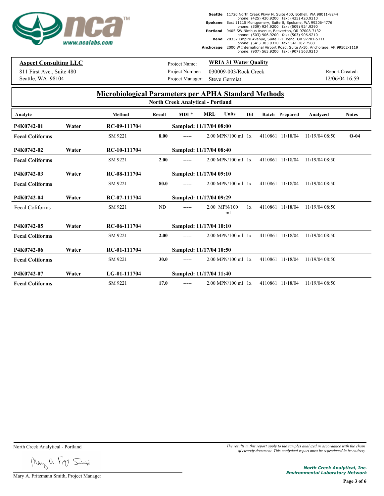

### **Aspect Consulting LLC**

Seattle, WA 98104 811 First Ave., Suite 480 Project Name:

**WRIA 31 Water Quality**

Project Manager: Steve Germiat Project Number: 030009-003/Rock Creek

Report Created: 12/06/04 16:59

### **Microbiological Parameters per APHA Standard Methods**

|       | <b>Method</b> | <b>Result</b> | $MDL^*$ | <b>MRL</b> | Units | Dil                                                                                                                                                                                                                                                   |                                                                                                                                                                                                                            | <b>Analyzed</b>                                                                                                                                                   | <b>Notes</b> |
|-------|---------------|---------------|---------|------------|-------|-------------------------------------------------------------------------------------------------------------------------------------------------------------------------------------------------------------------------------------------------------|----------------------------------------------------------------------------------------------------------------------------------------------------------------------------------------------------------------------------|-------------------------------------------------------------------------------------------------------------------------------------------------------------------|--------------|
| Water | RC-09-111704  |               |         |            |       |                                                                                                                                                                                                                                                       |                                                                                                                                                                                                                            |                                                                                                                                                                   |              |
|       | SM 9221       | 8.00          |         |            |       |                                                                                                                                                                                                                                                       |                                                                                                                                                                                                                            | 11/19/04 08:50                                                                                                                                                    | $O-04$       |
| Water | RC-10-111704  |               |         |            |       |                                                                                                                                                                                                                                                       |                                                                                                                                                                                                                            |                                                                                                                                                                   |              |
|       | SM 9221       | 2.00          |         |            |       |                                                                                                                                                                                                                                                       |                                                                                                                                                                                                                            | 11/19/04 08:50                                                                                                                                                    |              |
| Water | RC-08-111704  |               |         |            |       |                                                                                                                                                                                                                                                       |                                                                                                                                                                                                                            |                                                                                                                                                                   |              |
|       | SM 9221       | 80.0          |         |            |       |                                                                                                                                                                                                                                                       |                                                                                                                                                                                                                            | 11/19/04 08:50                                                                                                                                                    |              |
| Water | RC-07-111704  |               |         |            |       |                                                                                                                                                                                                                                                       |                                                                                                                                                                                                                            |                                                                                                                                                                   |              |
|       | SM 9221       | ND            | -----   |            | ml    | 1x                                                                                                                                                                                                                                                    |                                                                                                                                                                                                                            | 11/19/04 08:50                                                                                                                                                    |              |
| Water | RC-06-111704  |               |         |            |       |                                                                                                                                                                                                                                                       |                                                                                                                                                                                                                            |                                                                                                                                                                   |              |
|       | SM 9221       | 2.00          |         |            |       |                                                                                                                                                                                                                                                       |                                                                                                                                                                                                                            | 11/19/04 08:50                                                                                                                                                    |              |
| Water | RC-01-111704  |               |         |            |       |                                                                                                                                                                                                                                                       |                                                                                                                                                                                                                            |                                                                                                                                                                   |              |
|       | SM 9221       | 30.0          | -----   |            |       |                                                                                                                                                                                                                                                       |                                                                                                                                                                                                                            | 11/19/04 08:50                                                                                                                                                    |              |
| Water | LG-01-111704  |               |         |            |       |                                                                                                                                                                                                                                                       |                                                                                                                                                                                                                            |                                                                                                                                                                   |              |
|       | SM 9221       | 17.0          | -----   |            |       |                                                                                                                                                                                                                                                       |                                                                                                                                                                                                                            | 11/19/04 08:50                                                                                                                                                    |              |
|       |               |               |         |            |       | <b>North Creek Analytical - Portland</b><br>Sampled: 11/17/04 08:00<br>Sampled: 11/17/04 08:40<br>Sampled: 11/17/04 09:10<br>Sampled: 11/17/04 09:29<br>2.00 MPN/100<br>Sampled: 11/17/04 10:10<br>Sampled: 11/17/04 10:50<br>Sampled: 11/17/04 11:40 | $2.00 \text{ MPN}/100 \text{ ml}$ 1x<br>$2.00 \text{ MPN}/100 \text{ ml}$ 1x<br>2.00 MPN/100 ml 1x<br>$2.00 \text{ MPN}/100 \text{ ml}$ 1x<br>$2.00 \text{ MPN}/100 \text{ ml}$ 1x<br>$2.00 \text{ MPN}/100 \text{ ml}$ 1x | <b>Batch Prepared</b><br>4110861 11/18/04<br>4110861 11/18/04<br>4110861 11/18/04<br>4110861 11/18/04<br>4110861 11/18/04<br>4110861 11/18/04<br>4110861 11/18/04 |              |

Mary a. Fry Sing

Mary A. Fritzmann Smith, Project Manager

North Creek Analytical - Portland *The results in this report apply to the samples analyzed in accordance with the chain of custody document. This analytical report must be reproduced in its entirety.*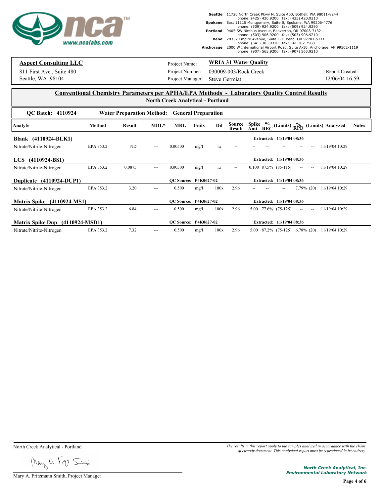

### **Aspect Consulting LLC**

Seattle, WA 98104 811 First Ave., Suite 480 Project Name:

#### **WRIA 31 Water Quality**

Project Manager: Steve Germiat Project Number: 030009-003/Rock Creek

Report Created: 12/06/04 16:59

#### **Conventional Chemistry Parameters per APHA/EPA Methods - Laboratory Quality Control Results North Creek Analytical - Portland**

| <b>OC Batch: 4110924</b>          |           | Water Preparation Method: General Preparation |               |            |                       |                          |                                                                                                                  |
|-----------------------------------|-----------|-----------------------------------------------|---------------|------------|-----------------------|--------------------------|------------------------------------------------------------------------------------------------------------------|
| Analyte                           | Method    | Result                                        | $MDL^*$       | <b>MRL</b> | Dil<br><b>Units</b>   | Source<br><b>Result</b>  | Spike<br>$\frac{\%}{REC}$<br>(Limits) $_{\text{RPD}}^{\bullet/\bullet}$ (Limits) Analyzed<br><b>Notes</b><br>Amt |
| Blank (4110924-BLK1)              |           |                                               |               |            |                       |                          | Extracted: 11/19/04 08:36                                                                                        |
| Nitrate/Nitrite-Nitrogen          | EPA 353.2 | ND                                            | $\sim$ $\sim$ | 0.00500    | mg/l<br>1x            |                          | 11/19/04 10:29                                                                                                   |
| LCS (4110924-BS1)                 |           |                                               |               |            |                       |                          | Extracted: 11/19/04 08:36                                                                                        |
| Nitrate/Nitrite-Nitrogen          | EPA 353.2 | 0.0875                                        | ---           | 0.00500    | mg/l<br>1x            | $\overline{\phantom{a}}$ | $0.100$ 87.5% (85-115)<br>11/19/04 10:29<br>--<br>$\sim$                                                         |
| Duplicate (4110924-DUP1)          |           |                                               |               |            | OC Source: P4K0627-02 |                          | Extracted: 11/19/04 08:36                                                                                        |
| Nitrate/Nitrite-Nitrogen          | EPA 353.2 | 3.20                                          | ---           | 0.500      | 100x<br>mg/l          | 2.96                     | $7.79\%$ (20)<br>11/19/04 10:29                                                                                  |
| <b>Matrix Spike</b> (4110924-MS1) |           |                                               |               |            | OC Source: P4K0627-02 |                          | Extracted: 11/19/04 08:36                                                                                        |
| Nitrate/Nitrite-Nitrogen          | EPA 353.2 | 6.84                                          | ---           | 0.500      | 100x<br>mg/l          | 2.96                     | $5.00$ $77.6\%$ $(75-125)$<br>11/19/04 10:29<br>$\frac{1}{2}$<br>$\overline{\phantom{a}}$                        |
| Matrix Spike Dup (4110924-MSD1)   |           |                                               |               |            | OC Source: P4K0627-02 |                          | Extracted: 11/19/04 08:36                                                                                        |
| Nitrate/Nitrite-Nitrogen          | EPA 353.2 | 7.32                                          | ---           | 0.500      | 100x<br>mg/l          | 2.96                     | $5.00$ $87.2\%$ $(75-125)$ $6.78\%$ $(20)$<br>11/19/04 10:29                                                     |

Mary a. Fry Singe

Mary A. Fritzmann Smith, Project Manager

North Creek Analytical - Portland *The results in this report apply to the samples analyzed in accordance with the chain of custody document. This analytical report must be reproduced in its entirety.*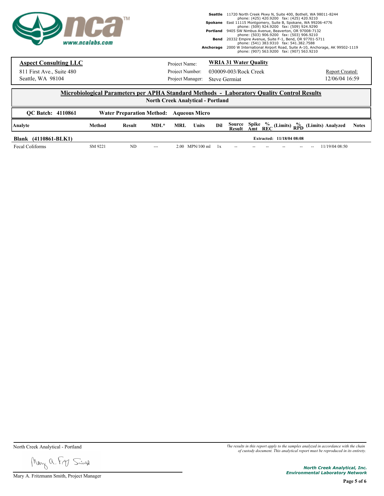

## **Aspect Consulting LLC**

Seattle, WA 98104

Project Manager: Steve Germiat Project Number: Project Name:

**WRIA 31 Water Quality**

811 First Ave., Suite 480 Project Number: 030009-003/Rock Creek

Report Created: 12/06/04 16:59

#### **Microbiological Parameters per APHA Standard Methods - Laboratory Quality Control Results North Creek Analytical - Portland**

| <b>OC Batch: 4110861</b> |         | <b>Water Preparation Method: Aqueous Micro</b> |         |     |                   |     |     |     |                           |     |                                                                                              |              |
|--------------------------|---------|------------------------------------------------|---------|-----|-------------------|-----|-----|-----|---------------------------|-----|----------------------------------------------------------------------------------------------|--------------|
| Analyte                  | Method  | Result                                         | $MDL^*$ | MRL | Units             | Dil |     |     |                           |     | Source Spike % (Limits) % (Limits) Analyzed<br>Result Amt REC (Limits) RPD (Limits) Analyzed | <b>Notes</b> |
| Blank (4110861-BLK1)     |         |                                                |         |     |                   |     |     |     | Extracted: 11/18/04 08:08 |     |                                                                                              |              |
| Fecal Coliforms          | SM 9221 | ND                                             | $---$   |     | $2.00$ MPN/100 ml | 1x  | $-$ | $-$ | $- -$                     | $-$ | 11/19/04 08:50                                                                               |              |

Mary a. Fry Singe

Mary A. Fritzmann Smith, Project Manager

North Creek Analytical - Portland *The results in this report apply to the samples analyzed in accordance with the chain of custody document. This analytical report must be reproduced in its entirety.*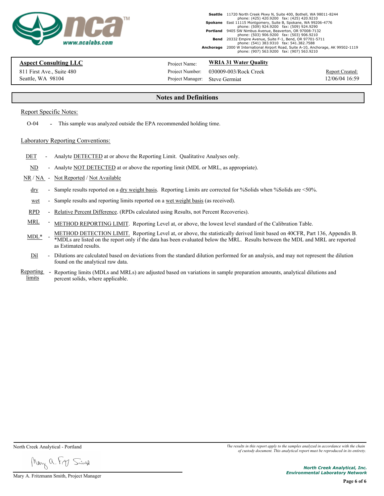

11720 North Creek Pkwy N, Suite 400, Bothell, WA 98011-8244 phone: (425) 420.9200 fax: (425) 420.9210 **Seattle** East 11115 Montgomery, Suite B, Spokane, WA 99206-4776 phone: (509) 924.9200 fax: (509) 924.9290 **Spokane** 9405 SW Nimbus Avenue, Beaverton, OR 97008-7132 phone: (503) 906.9200 fax: (503) 906.9210 **Portland Bend** 20332 Empire Avenue, Suite F-1, Bend, OR 97701-5711 phone: (541) 383.9310 fax: 541.382.7588 2000 W International Airport Road, Suite A-10, Anchorage, AK 99502-1119 phone: (907) 563.9200 fax: (907) 563.9210 **Anchorage**

#### **Aspect Consulting LLC**

Seattle, WA 98104 811 First Ave., Suite 480 Project Manager: Project Name:

**WRIA 31 Water Quality**

Project Number: 030009-003/Rock Creek Steve Germiat 12/06/04 16:59

Report Created:

#### **Notes and Definitions**

#### Report Specific Notes:

O-04 - This sample was analyzed outside the EPA recommended holding time.

#### Laboratory Reporting Conventions:

- DET Analyte DETECTED at or above the Reporting Limit. Qualitative Analyses only.
- ND Analyte NOT DETECTED at or above the reporting limit (MDL or MRL, as appropriate).

#### NR / NA - Not Reported / Not Available

- dry Sample results reported on a dry weight basis. Reporting Limits are corrected for %Solids when %Solids are <50%.
- wet Sample results and reporting limits reported on a <u>wet weight basis</u> (as received).
- 
- 
- RPD Relative Percent Difference. (RPDs calculated using Results, not Percent Recoveries).<br>MRL METHOD REPORTING LIMIT. Reporting Level at, or above, the lowest level standard of the Calibration Table.<br>MDL\* METHOD DETE \*MDLs are listed on the report only if the data has been evaluated below the MRL. Results between the MDL and MRL are reported as Estimated results.
- Dil Dilutions are calculated based on deviations from the standard dilution performed for an analysis, and may not represent the dilution found on the analytical raw data.
- Reporting limits percent solids, where applicable. - Reporting limits (MDLs and MRLs) are adjusted based on variations in sample preparation amounts, analytical dilutions and percent solids, where applicable.

May a From Simp

Mary A. Fritzmann Smith, Project Manager

North Creek Analytical - Portland *The results in this report apply to the samples analyzed in accordance with the chain of custody document. This analytical report must be reproduced in its entirety.*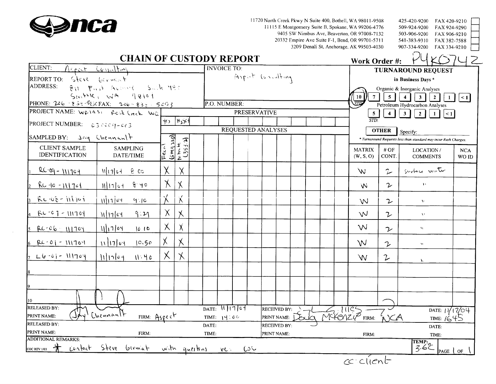

11720 North Creek Pkwy N Suite 400, Bothell, WA 98011-9508 11115 E Montgomery Suite B, Spokane, WA 99206-4776 9405 SW Nimbus Ave, Beaverton, OR 97008-7132 20332 Empire Ave Suite F-1, Bend, OR 99701-5711 3209 Denali St, Anchorage, AK 99503-4030

| 425-420-9200                 | FAX 420-9210                 |  |
|------------------------------|------------------------------|--|
| 509-924-9200<br>503-906-9200 | FAX 924-9290<br>FAX 906-9210 |  |
| 541-383-9310<br>907-334-9200 | FAX 382-7588<br>FAX 334-9210 |  |
|                              |                              |  |

## **CHAIN OF CUSTODY REPORT**

|                                               | <b>CHAIN OF CUSTODY REPORT</b>      |              |                                                    |       |                               |                           |                             |  | Work Order #:              |                      | PUKO742                                                          |                             |
|-----------------------------------------------|-------------------------------------|--------------|----------------------------------------------------|-------|-------------------------------|---------------------------|-----------------------------|--|----------------------------|----------------------|------------------------------------------------------------------|-----------------------------|
| CLIENT:                                       | Aspect Committing                   |              |                                                    |       | <b>INVOICE TO:</b>            |                           |                             |  |                            |                      | <b>TURNAROUND REQUEST</b>                                        |                             |
| REPORT TO: Steve bevonent                     |                                     |              |                                                    |       |                               | Aspect Consulting         |                             |  |                            |                      | in Business Days *                                               |                             |
| ADDRESS:                                      | 811 Fast Avenue Such 480            |              |                                                    |       |                               |                           |                             |  |                            |                      | Organic & Inorganic Analyses                                     |                             |
|                                               | $SewHRE, WA = QQ101$                |              |                                                    |       |                               |                           |                             |  | 7 <sup>1</sup><br>10       | 5 <sup>1</sup>       | $\mathbf{3}$<br>$2^{\circ}$<br>$\mathbf{1}$                      | $\leq$ 1                    |
| PHONE: 206 . 838-5830 FAX: 206 - 838 . 5263   |                                     |              |                                                    |       | P.O. NUMBER:                  |                           |                             |  |                            |                      | Petroleum Hydrocarbon Analyses                                   |                             |
| PROJECT NAME: WR1431 Rock Creck WG            |                                     |              |                                                    |       |                               | <b>PRESERVATIVE</b>       |                             |  | $rac{5}{STD}$              | $\blacktriangleleft$ | 3 <sup>7</sup><br>2 <sup>1</sup><br>$\leq$ 1<br>1 <sup>1</sup>   |                             |
| PROJECT NUMBER: $03000q-c63$                  |                                     | $\forall$    | $ H_{\lambda}y $                                   |       |                               |                           |                             |  |                            |                      |                                                                  |                             |
|                                               |                                     |              |                                                    |       |                               | <b>REQUESTED ANALYSES</b> |                             |  |                            | <b>OTHER</b>         | Specify:                                                         |                             |
| SAMPLED BY: $\exists$ ay Chennant             |                                     |              |                                                    |       |                               |                           |                             |  |                            |                      | * Turnaround Requests less than standard may incur Rush Charges. |                             |
| <b>CLIENT SAMPLE</b><br><b>IDENTIFICATION</b> | <b>SAMPLING</b><br>DATE/TIME        |              | $\frac{\overline{F}z(x)}{\frac{(5m(9)p)}{N(m+8)}}$ |       |                               |                           |                             |  | <b>MATRIX</b><br>(W, S, O) | #OF<br>CONT.         | LOCATION /<br><b>COMMENTS</b>                                    | <b>NCA</b><br>WO ID         |
| $RC - 9 - 111704$                             | $N[17]$ 64<br>e co                  | χ            | $\chi$                                             |       |                               |                           |                             |  | W.                         | $\hat{\nu}$          | Surface writer                                                   |                             |
| <u> RC-10 - III 704</u>                       | 6.40<br>M11c1                       | $\lambda$    | $\chi$                                             |       |                               |                           |                             |  | W                          | ν                    | $\rightarrow$                                                    |                             |
| $RC-08-111101$                                | uino<br>9:10                        | $\chi$       | $\chi$                                             |       |                               |                           |                             |  | W                          | $\mathfrak{D}$       | $\mathbf{V}$                                                     |                             |
| $PC - C = 1 - 111704$                         | $M 11 $ 64<br>9:29                  | $\mathsf{X}$ | $\times$                                           |       |                               |                           |                             |  | W                          | $\mathcal{V}$        | $\mathbf{A}$                                                     |                             |
| $PC-06 - 111701$                              | 111764<br>10.10                     | $\mathsf{X}$ | Х                                                  |       |                               |                           |                             |  | W                          | $\mathcal{V}$        | $\mathbf{M}$                                                     |                             |
| $6$ RC-01 - 111704                            | $11  17 $ 04<br>10.50               | X.           | $\chi$                                             |       |                               |                           |                             |  | W                          | $\mathcal{V}$        | $\mathcal{M}$                                                    |                             |
| $7 - 16 - 61 - 111704$                        | $M$ $N$<br>11.40                    | Х            | $\lambda$                                          |       |                               |                           |                             |  | W                          | $\mathcal{L}$        | $\mathcal{V}$                                                    |                             |
|                                               |                                     |              |                                                    |       |                               |                           |                             |  |                            |                      |                                                                  |                             |
|                                               |                                     |              |                                                    |       |                               |                           |                             |  |                            |                      |                                                                  |                             |
| 10                                            |                                     |              |                                                    |       |                               |                           |                             |  |                            |                      |                                                                  |                             |
| <b>RELEASED BY:</b><br>PRINT NAME:            | Chennanlt<br>FIRM: $A$ spect        |              |                                                    |       | DATE: 111764<br>TIME: $14:00$ |                           | RECEIVED BY:<br>PRINT NAME: |  | Docky Mikenzy FIRM:        |                      | DATE: $11/17/04$<br>TIME: $1645$                                 |                             |
| <b>RELEASED BY:</b>                           |                                     |              |                                                    | DATE: |                               |                           | <b>RECEIVED BY:</b>         |  |                            |                      | DATE:                                                            |                             |
| PRINT NAME:<br><b>ADDITIONAL REMARKS:</b>     | FIRM:                               |              |                                                    | TIME: |                               |                           | PRINT NAME:                 |  | FIRM:                      |                      | TIME:                                                            |                             |
| COCREV <sub>1/03</sub>                        | contact Steve Germat with questions |              |                                                    |       |                               | vc: CoV                   |                             |  |                            |                      | TEMP:<br>$3.6$                                                   | PAGE $\sqrt{$ OF $\sqrt{ }$ |
|                                               |                                     |              |                                                    |       |                               |                           |                             |  | $cc$ client                |                      |                                                                  |                             |